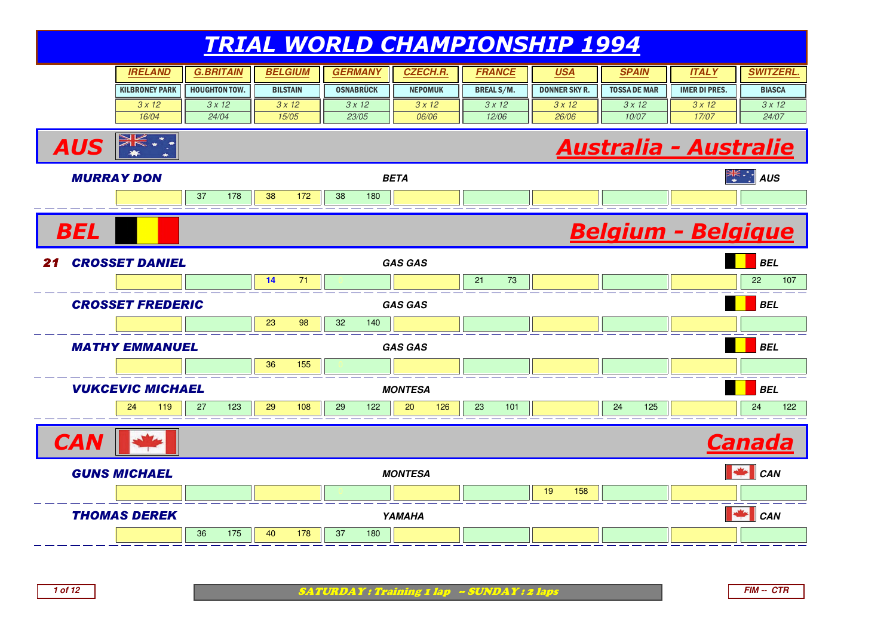#### TRIAL WORLD CHAMPIONSHIP 1994**SPAIN IRELAND G.BRITAIN BELGIUM GERMANY CZECH.R.** KILBRONEY PARK3 x 12 16/04HOUGHTON TOW. BILSTAINOSNABRÜCK II NEPOMUK **FRANCE USA SPAIN ITALY SWITZERL.** BREAL S/M.DONNER SKY R. II TOSSA DE MAR IMER DI PRES. II BIASCA 3 x 12 24/04 $3 \times 12$  15/05 $3 \times 12$  23/05 $3 \times 12$  06/06 $3 \times 12$  12/06 $3 \times 12$  26/06 $3 \times 12$  10/073 x 12 17/07 $3 \times 12$  24/07AUS $\frac{\partial f(x)}{\partial x}$  and  $\frac{\partial f(x)}{\partial y}$  and  $\frac{\partial f(x)}{\partial y}$  bon MURRAY DON **BETA AUS** <sup>37</sup> <sup>178</sup> <sup>38</sup> <sup>172</sup> <sup>38</sup> <sup>180</sup> <sup>0</sup> <sup>0</sup> <sup>0</sup> <sup>0</sup> <sup>0</sup> <sup>0</sup> **BEL**  Belgium - Belgique**21 CROSSET DANIEL 1 CROSSET DANIEL** GAS GAS GAS **BELL GAS GAS BELL GAS GAS**  <sup>0</sup> **<sup>14</sup>** <sup>71</sup> <sup>0</sup> <sup>0</sup> <sup>21</sup> <sup>73</sup> <sup>0</sup> <sup>0</sup> <sup>0</sup> <sup>22</sup> <sup>107</sup> CROSSET FREDERIC **GAS GAS BEL** <sup>0</sup> <sup>23</sup> <sup>98</sup> <sup>32</sup> <sup>140</sup> <sup>0</sup> <sup>0</sup> <sup>0</sup> <sup>0</sup> <sup>0</sup> <sup>0</sup> MATHY EMMANUEL **GAS GAS BEL** <sup>0</sup> <sup>36</sup> <sup>155</sup> <sup>0</sup> <sup>0</sup> <sup>0</sup> <sup>0</sup> <sup>0</sup> <sup>0</sup> <sup>0</sup> VUKCEVIC MICHAEL **MONTESA BEL** 24 <sup>119</sup> <sup>27</sup> <sup>123</sup> <sup>29</sup> <sup>108</sup> <sup>29</sup> <sup>122</sup> <sup>20</sup> <sup>126</sup> <sup>23</sup> <sup>101</sup> <sup>0</sup> <sup>24</sup> <sup>125</sup> <sup>0</sup> <sup>24</sup> <sup>122</sup> **CAN**  Canada GUNS MICHAEL **MONTESA CAN** <sup>0</sup> <sup>0</sup> <sup>0</sup> <sup>0</sup> <sup>0</sup> <sup>19</sup> <sup>158</sup> <sup>0</sup> <sup>0</sup> <sup>0</sup> THOMAS DEREK**K** <u>**CAN BEEN CANNAHA CANNAHA CANNAHA CANNAHA CANNAHA CANNAHA CANNAHA CANNAHA CANNAHA CANNAHA CANNAHA CANNAHA CANNAHA CANNAHA CANNAHA CANNAHA CANNAHA CANNAHA CANNAHA** CANNAHA CANNAHA CA</u> <sup>36</sup> <sup>175</sup> <sup>40</sup> <sup>178</sup> <sup>37</sup> <sup>180</sup> <sup>0</sup> <sup>0</sup> <sup>0</sup> <sup>0</sup> <sup>0</sup> <sup>0</sup>

**1 of 12**

SATURDAY : Training 1 lap -- SUNDAY : 2 laps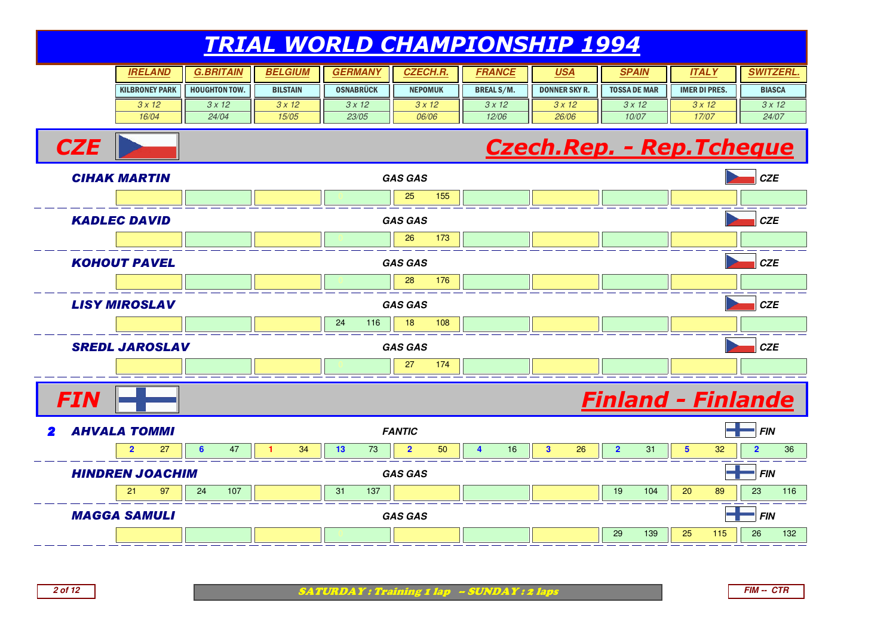| <b>IRELAND</b>        | <b>G.BRITAIN</b>     | <b>BELGIUM</b>  | <b>GERMANY</b>   | <b>CZECH.R.</b> | <i><b>FRANCE</b></i> | <u>USA</u>           | <b>SPAIN</b>        | ITAL Y               | ""TZERL.      |
|-----------------------|----------------------|-----------------|------------------|-----------------|----------------------|----------------------|---------------------|----------------------|---------------|
| <b>KILBRONEY PARK</b> | <b>HOUGHTON TOW.</b> | <b>BILSTAIN</b> | <b>OSNABRÜCK</b> | <b>NEPOMUK</b>  | <b>BREAL S/M.</b>    | <b>DONNER SKY R.</b> | <b>TOSSA DE MAR</b> | <b>IMER DI PRES.</b> | <b>BIASCA</b> |
| 3x12                  | 3x12                 | 3x12            | 3x12             | 3x12            | 3x12                 | 3x12                 | 3x12                | 3x12                 | 3x12          |
| 16/04                 | 24/04                | 15/05           | 23/05            | 06/06           | 12/06                | 26/06                | 10/07               | 17/07                | 24/07         |

#### Czech.Rep. - Rep.Tcheque



**2 of 12**

**CZE** 

SATURDAY : Training 1 lap -- SUNDAY : 2 laps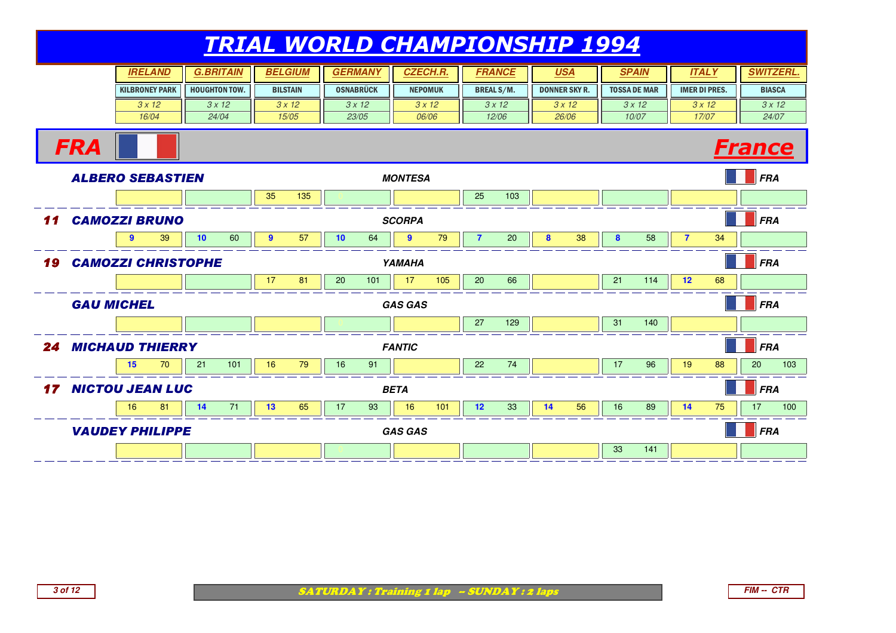|    |                           |                  | <b>IRELAND</b>        |    | <b>G.BRITAIN</b>     |              | <b>BELGIUM</b>  |    | <b>GERMANY</b>   | <b>CZECH.R.</b> |     | <b>FRANCE</b>     |       | <u>USA</u>           |       |    | <b>SPAIN</b>        | <b>ITALY</b>         |       | <b>SWITZERL.</b> |      |
|----|---------------------------|------------------|-----------------------|----|----------------------|--------------|-----------------|----|------------------|-----------------|-----|-------------------|-------|----------------------|-------|----|---------------------|----------------------|-------|------------------|------|
|    |                           |                  | <b>KILBRONEY PARK</b> |    | <b>HOUGHTON TOW.</b> |              | <b>BILSTAIN</b> |    | <b>OSNABRÜCK</b> | <b>NEPOMUK</b>  |     | <b>BREAL S/M.</b> |       | <b>DONNER SKY R.</b> |       |    | <b>TOSSA DE MAR</b> | <b>IMER DI PRES.</b> |       | <b>BIASCA</b>    |      |
|    |                           |                  | 3x12                  |    | 3x12                 |              | 3x12            |    | 3x12             | 3x12            |     |                   | 3x12  |                      | 3x12  |    | 3x12                | 3x12                 |       |                  | 3x12 |
|    |                           |                  | 16/04                 |    | 24/04                |              | 15/05           |    | 23/05            | 06/06           |     |                   | 12/06 |                      | 26/06 |    | 10/07               |                      | 17/07 | 24/07            |      |
|    | <b>FRA</b>                |                  |                       |    |                      |              |                 |    |                  |                 |     |                   |       |                      |       |    |                     |                      |       | <b>France</b>    |      |
|    | <b>ALBERO SEBASTIEN</b>   |                  |                       |    |                      |              |                 |    |                  | <b>MONTESA</b>  |     |                   |       |                      |       |    |                     |                      |       | <b>FRA</b>       |      |
|    |                           |                  |                       |    |                      | 35           | 135             |    |                  |                 |     | 25                | 103   |                      |       |    |                     |                      |       |                  |      |
| 11 | <b>CAMOZZI BRUNO</b>      |                  |                       |    |                      |              |                 |    |                  | <b>SCORPA</b>   |     |                   |       |                      |       |    |                     |                      |       | <b>FRA</b>       |      |
|    |                           | $\boldsymbol{9}$ | 39                    | 10 | 60                   | $\mathbf{9}$ | 57              | 10 | 64               | $\mathbf{9}$    | 79  | $\overline{7}$    | 20    | 8                    | 38    | 8  | 58                  | $\overline{7}$       | 34    |                  |      |
| 19 | <b>CAMOZZI CHRISTOPHE</b> |                  |                       |    |                      |              |                 |    |                  | YAMAHA          |     |                   |       |                      |       |    |                     |                      |       | <b>FRA</b>       |      |
|    |                           |                  |                       |    |                      | 17           | 81              | 20 | 101              | 17              | 105 | 20                | 66    |                      |       | 21 | 114                 | 12                   | 68    |                  |      |
|    | <b>GAU MICHEL</b>         |                  |                       |    |                      |              |                 |    |                  | <b>GAS GAS</b>  |     |                   |       |                      |       |    |                     |                      |       | <b>FRA</b>       |      |
|    |                           |                  |                       |    |                      |              |                 |    |                  |                 |     | 27                | 129   |                      |       | 31 | 140                 |                      |       |                  |      |
| 24 | <b>MICHAUD THIERRY</b>    |                  |                       |    |                      |              |                 |    |                  | <b>FANTIC</b>   |     |                   |       |                      |       |    |                     |                      |       | <b>FRA</b>       |      |
|    |                           | 15               | 70                    | 21 | 101                  | 16           | 79              | 16 | 91               |                 |     | 22                | 74    |                      |       | 17 | 96                  | 19                   | 88    | 20               | 103  |
| 17 | <b>NICTOU JEAN LUC</b>    |                  |                       |    |                      |              |                 |    |                  | <b>BETA</b>     |     |                   |       |                      |       |    |                     |                      |       | <b>FRA</b>       |      |
|    |                           | 16               | 81                    | 14 | 71                   | 13           | 65              | 17 | 93               | 16              | 101 | 12                | 33    | 14                   | 56    | 16 | 89                  | 14                   | 75    | 17               | 100  |
|    | <b>VAUDEY PHILIPPE</b>    |                  |                       |    |                      |              |                 |    |                  | <b>GAS GAS</b>  |     |                   |       |                      |       |    |                     |                      |       | <b>FRA</b>       |      |
|    |                           |                  |                       |    |                      |              |                 |    |                  |                 |     |                   |       |                      |       | 33 | 141                 |                      |       |                  |      |

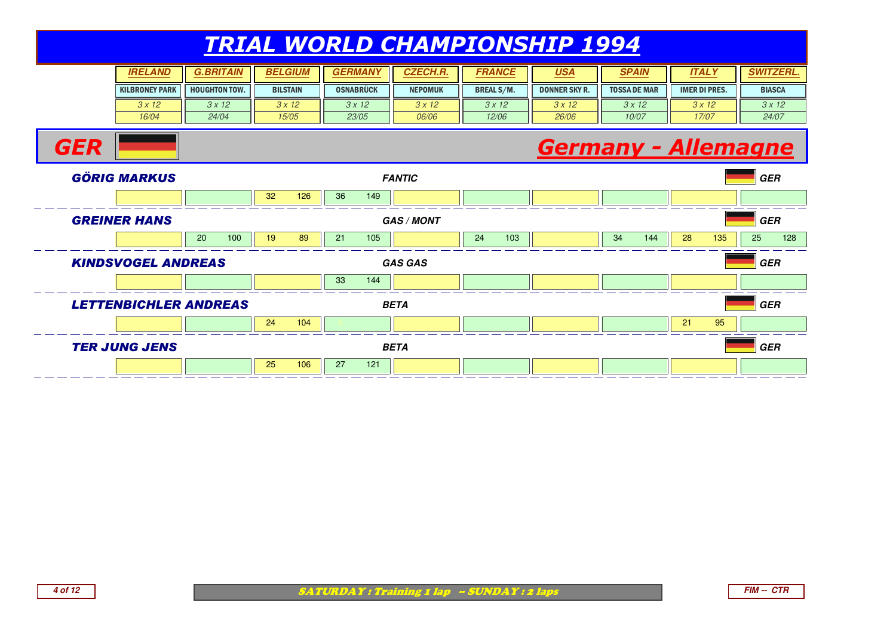#### TRIAL WORLD CHAMPIONSHIP 1994**SPAIN IRELAND G.BRITAIN BELGIUM GERMANY CZECH.R.** KILBRONEY PARK $3 \times 12$  16/04HOUGHTON TOW. BILSTAINOSNABRÜCK II NEPOMUK **FRANCE USA SPAIN ITALY SWITZERL.** BREAL S/M.DONNER SKY R. II TOSSA DE MAR IMER DI PRES. II BIASCA  $3 \times 12$  24/04 $3 \times 12$  15/05 $3 \times 12$  23/05 $3 \times 12$  06/06 $3 \times 12$  12/06 $3 \times 12$  26/06 $3 \times 12$  10/07 $3 \times 12$  17/07 $3 \times 12$  24/07**GER**  Germany - Allemagne GÖRIG MARKUS **FANTIC GER** <sup>0</sup> <sup>32</sup> <sup>126</sup> <sup>36</sup> <sup>149</sup> <sup>0</sup> <sup>0</sup> <sup>0</sup> <sup>0</sup> <sup>0</sup> <sup>0</sup> GREINER HANS **GAS / MONT GER** 20 100 || 19 89 || 21 105 || || 24 103 || || 34 144 || <mark>28 135</mark> || 25 128 KINDSVOGEL ANDREAS **GAS GAS GER** <sup>0</sup> <sup>0</sup> <sup>33</sup> <sup>144</sup> <sup>0</sup> <sup>0</sup> <sup>0</sup> <sup>0</sup> <sup>0</sup> <sup>0</sup> LETTENBICHLER ANDREAS **BETA GER** 0 21 95 || 24 104 || 0 0 || 0 0 || 0 0 || 0 0 || 0 0 || 0 0 || 21 || 25 || 0 TER JUNG JENS **BETA GER** <sup>0</sup> <sup>25</sup> <sup>106</sup> <sup>27</sup> <sup>121</sup> <sup>0</sup> <sup>0</sup> <sup>0</sup> <sup>0</sup> <sup>0</sup> <sup>0</sup>

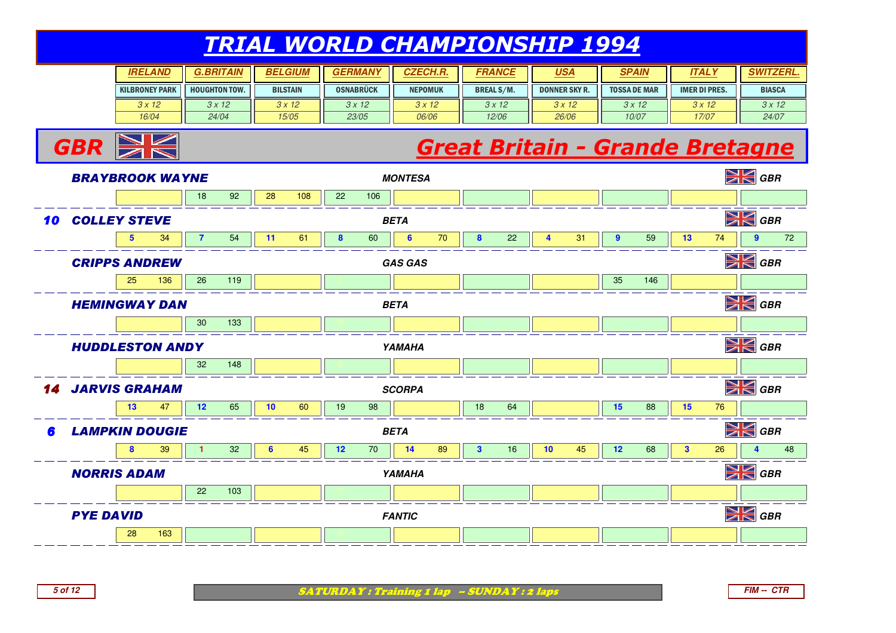| <b>IRELAND</b>        | <b>G.BRITAIN</b>     | <b>BELGIUM</b>  | <b>GERMANY</b>   | <i><b>CZECH.R</b></i> | FRANCE            | <u>USA</u>           | <b>SPAIN</b>        | <b>ITALY</b>         | <b>SWITZERL</b> |
|-----------------------|----------------------|-----------------|------------------|-----------------------|-------------------|----------------------|---------------------|----------------------|-----------------|
| <b>KILBRONEY PARK</b> | <b>HOUGHTON TOW.</b> | <b>BILSTAIN</b> | <b>OSNABRÜCK</b> | <b>NEPOMUK</b>        | <b>BREAL S/M.</b> | <b>DONNER SKY R.</b> | <b>TOSSA DE MAR</b> | <b>IMER DI PRES.</b> | <b>BIASCA</b>   |
| 3x12                  | 3x12                 | 3x12            | 3x12             | 3x12                  | 3x12              | 3x12                 | 3x12                | 3x12                 | 3x12            |
| 16/04                 | 24/04                | 15/05           | 23/05            | 06/06                 | 12/06             | 26/06                | 10/07               | 17/07                | 24/07           |

# **Great Britain - Grande Bretagne**<br>ESA



**5 of 12**

 $GBR \geq$ 

SATURDAY : Training 1 lap - SUNDAY : 2 laps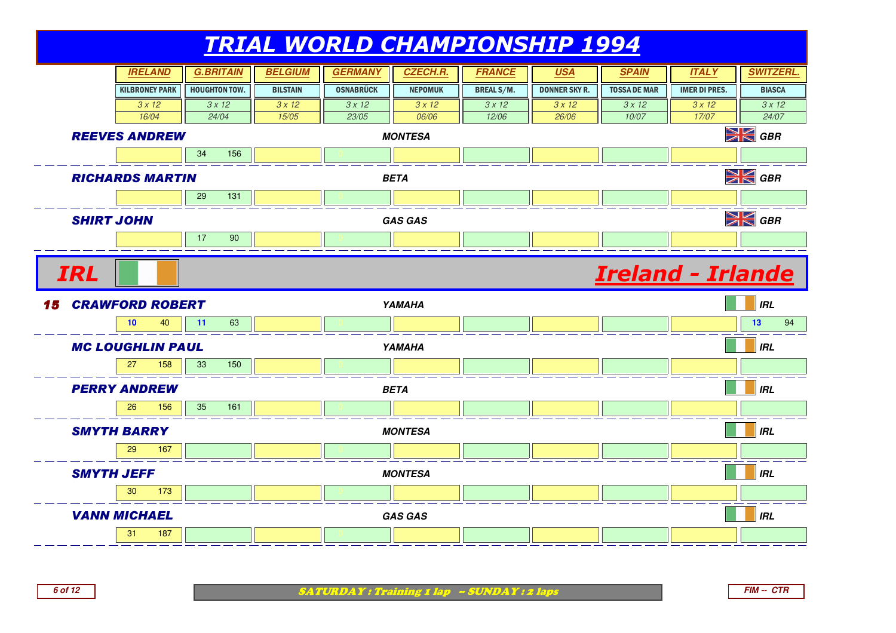

SATURDAY : Training 1 lap -- SUNDAY : 2 laps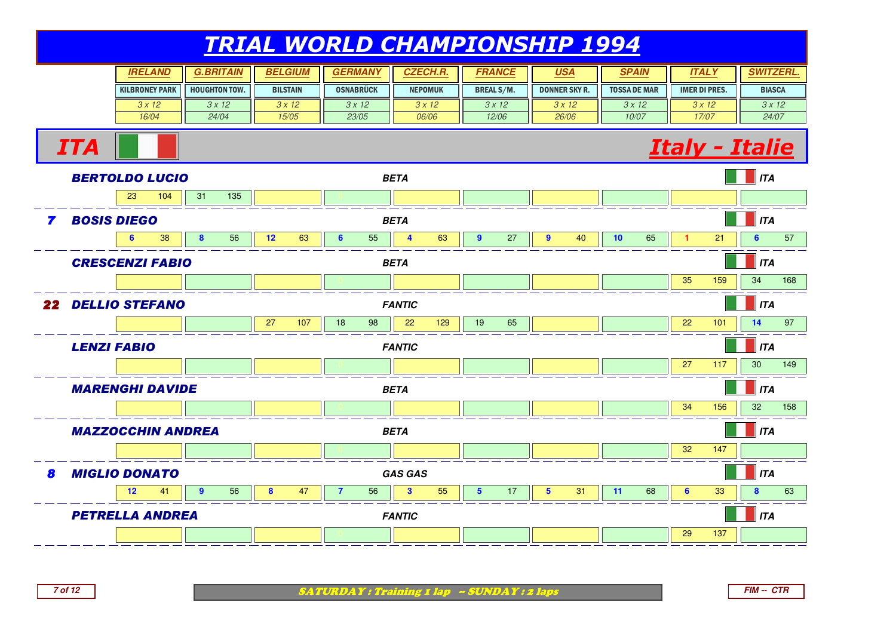| <b>IRELAND</b>        | <b>BRITAIN</b>       | <b>BELGIUM</b>  | <b>GERMAN)</b>   | <b>CZECH.R.</b> | FRANCE            | <u>USA</u>           | <b>SPAIN</b>        | <b>ITALY</b>         | <b>SWITZERL.</b> |
|-----------------------|----------------------|-----------------|------------------|-----------------|-------------------|----------------------|---------------------|----------------------|------------------|
| <b>KILBRONEY PARK</b> | <b>HOUGHTON TOW.</b> | <b>BILSTAIN</b> | <b>OSNABRÜCK</b> | <b>NEPOMUK</b>  | <b>BREAL S/M.</b> | <b>DONNER SKY R.</b> | <b>TOSSA DE MAR</b> | <b>IMER DI PRES.</b> | <b>BIASCA</b>    |
| 3x12                  | 3x12                 | 3 x 12          | 3x12             | 3x12            | 3x12              | 3x12                 | 3x12                | 3x12                 | 3x12             |
| 16/04                 | 24/04                | 15/05           | 23/05            | 06/06           | 12/06             | 26/06                | 10/07               | 17/07                | 24/07            |





**7 of 12**

ITA

SATURDAY : Training 1 lap - SUNDAY : 2 laps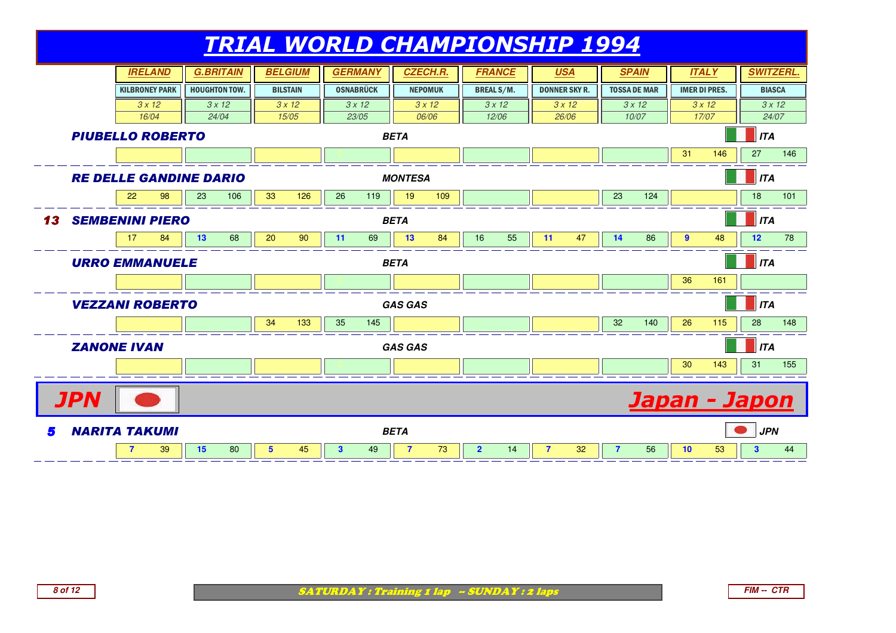

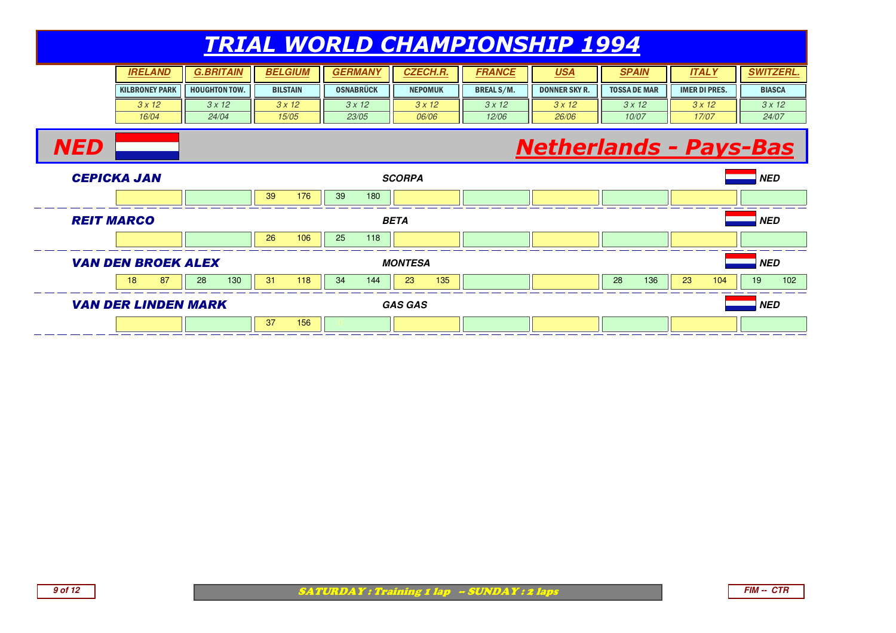#### TRIAL WORLD CHAMPIONSHIP 1994**SPAIN IRELAND G.BRITAIN BELGIUM GERMANY CZECH.R.** KILBRONEY PARK $3 \times 12$  16/04HOUGHTON TOW. BILSTAINOSNABRÜCK II NEPOMUK **FRANCE USA SPAIN ITALY SWITZERL.** BREAL S/M.DONNER SKY R. II TOSSA DE MAR IMER DI PRES. II BIASCA  $3 \times 12$  24/04 $3 \times 12$  15/05 $3 \times 12$  23/05 $3 \times 12$  06/06 $3 \times 12$  12/06 $3 \times 12$  26/06 $3 \times 12$  10/07 $3 \times 12$  17/07 $3 \times 12$  24/07**NED**  Netherlands - Pays-Bas CEPICKA JAN **SCORPA NED** <sup>0</sup> <sup>39</sup> <sup>176</sup> <sup>39</sup> <sup>180</sup> <sup>0</sup> <sup>0</sup> <sup>0</sup> <sup>0</sup> <sup>0</sup> <sup>0</sup> REIT MARCO **BETA NED** <sup>0</sup> <sup>26</sup> <sup>106</sup> <sup>25</sup> <sup>118</sup> <sup>0</sup> <sup>0</sup> <sup>0</sup> <sup>0</sup> <sup>0</sup> <sup>0</sup> VAN DEN BROEK ALEX **MONTESA NED** 18 <sup>87</sup> <sup>28</sup> <sup>130</sup> <sup>31</sup> <sup>118</sup> <sup>34</sup> <sup>144</sup> <sup>23</sup> <sup>135</sup> <sup>0</sup> <sup>0</sup> <sup>28</sup> <sup>136</sup> <sup>23</sup> <sup>104</sup> <sup>19</sup> <sup>102</sup> VAN DER LINDEN MARK**GAS GAS NED**

<sup>0</sup> <sup>37</sup> <sup>156</sup> <sup>0</sup> <sup>0</sup> <sup>0</sup> <sup>0</sup> <sup>0</sup> <sup>0</sup> <sup>0</sup>

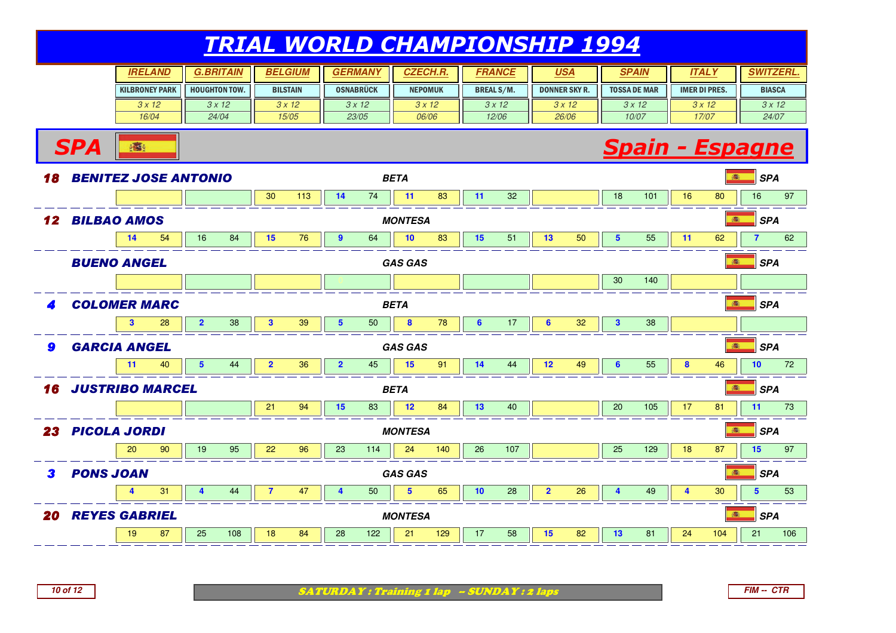| <b>IRELAND</b>        |                      | <b>BELGIUM</b>  | <b>GERMAN</b>    | <b>CZECH.R.</b> | FRANCE            | <u>USA</u>           | <b>SPAIN</b>        | ITAL Y               | <b>WIZERL.</b> |
|-----------------------|----------------------|-----------------|------------------|-----------------|-------------------|----------------------|---------------------|----------------------|----------------|
| <b>KILBRONEY PARK</b> | <b>HOUGHTON TOW.</b> | <b>BILSTAIN</b> | <b>OSNABRÜCK</b> | <b>NEPOMUK</b>  | <b>BREAL S/M.</b> | <b>DONNER SKY R.</b> | <b>TOSSA DE MAR</b> | <b>IMER DI PRES.</b> | <b>BIASCA</b>  |
| 3x12                  | 3x12                 | 3x12            | 3x12             | 3x12            | 3x12              | 3x12                 | 3x12                | 3x12                 | 3x12           |
| 16/04                 | 24/04                | 15/05           | 23/05            | 06/06           | 12/06             | 26/06                | 10/07               | 17/07                | 24/07          |

#### **Spain - Espagne**



**SPA**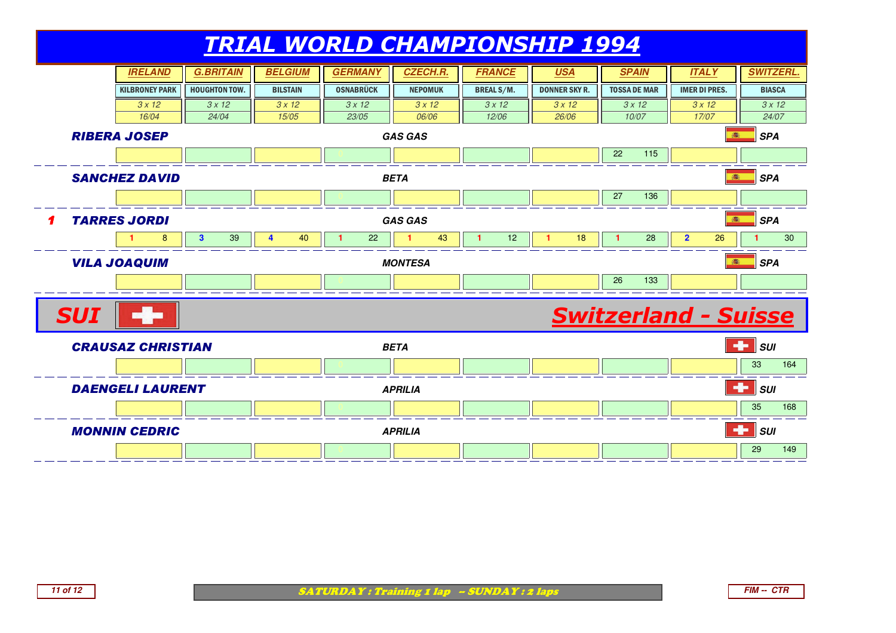